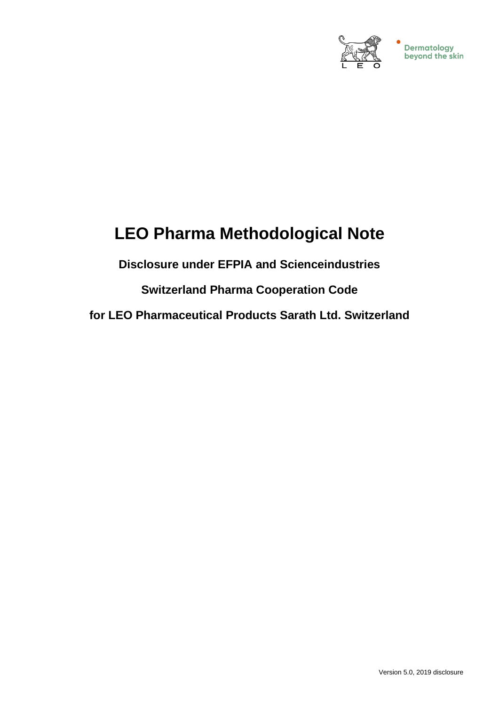

# **LEO Pharma Methodological Note**

# **Disclosure under EFPIA and Scienceindustries**

# **Switzerland Pharma Cooperation Code**

**for LEO Pharmaceutical Products Sarath Ltd. Switzerland**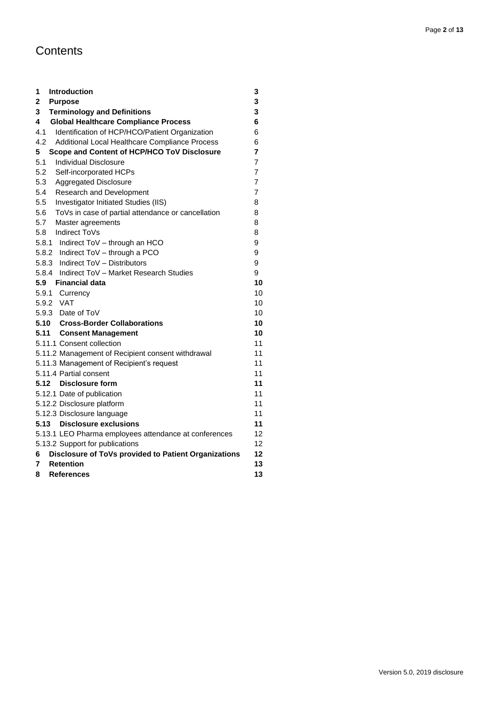# **Contents**

| 1<br>Introduction                                         | 3              |
|-----------------------------------------------------------|----------------|
| 2<br><b>Purpose</b>                                       | 3              |
| 3<br><b>Terminology and Definitions</b>                   | 3              |
| 4<br><b>Global Healthcare Compliance Process</b>          | 6              |
| 4.1<br>Identification of HCP/HCO/Patient Organization     | 6              |
| 4.2<br>Additional Local Healthcare Compliance Process     | 6              |
| 5<br>Scope and Content of HCP/HCO ToV Disclosure          | 7              |
| 5.1<br><b>Individual Disclosure</b>                       | 7              |
| 5.2<br>Self-incorporated HCPs                             | $\overline{7}$ |
| 5.3<br><b>Aggregated Disclosure</b>                       | 7              |
| 5.4<br>Research and Development                           | 7              |
| 5.5<br>Investigator Initiated Studies (IIS)               | 8              |
| ToVs in case of partial attendance or cancellation<br>5.6 | 8              |
| 5.7<br>Master agreements                                  | 8              |
| 5.8 Indirect ToVs                                         | 8              |
| 5.8.1 Indirect ToV - through an HCO                       | 9              |
| 5.8.2 Indirect ToV - through a PCO                        | 9              |
| 5.8.3 Indirect ToV - Distributors                         | 9              |
| 5.8.4 Indirect ToV - Market Research Studies              | 9              |
| 5.9<br>Financial data                                     | 10             |
| 5.9.1 Currency                                            | 10             |
| 5.9.2 VAT                                                 | 10             |
| 5.9.3 Date of ToV                                         | 10             |
| 5.10 Cross-Border Collaborations                          | 10             |
| 5.11 Consent Management                                   | 10             |
| 5.11.1 Consent collection                                 | 11             |
| 5.11.2 Management of Recipient consent withdrawal         | 11             |
| 5.11.3 Management of Recipient's request                  | 11             |
| 5.11.4 Partial consent                                    | 11             |
| 5.12 Disclosure form                                      | 11             |
| 5.12.1 Date of publication                                | 11             |
| 5.12.2 Disclosure platform                                | 11             |
| 5.12.3 Disclosure language                                | 11             |
| 5.13 Disclosure exclusions                                | 11             |
| 5.13.1 LEO Pharma employees attendance at conferences     | 12             |
| 5.13.2 Support for publications                           | 12             |
| Disclosure of ToVs provided to Patient Organizations<br>6 | 12             |
| <b>Retention</b><br>7                                     | 13             |
| 8<br><b>References</b>                                    | 13             |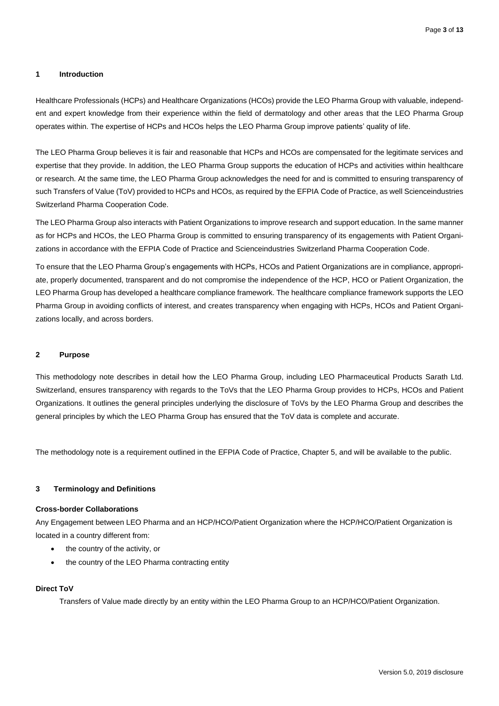# <span id="page-2-0"></span>**1 Introduction**

Healthcare Professionals (HCPs) and Healthcare Organizations (HCOs) provide the LEO Pharma Group with valuable, independent and expert knowledge from their experience within the field of dermatology and other areas that the LEO Pharma Group operates within. The expertise of HCPs and HCOs helps the LEO Pharma Group improve patients' quality of life.

The LEO Pharma Group believes it is fair and reasonable that HCPs and HCOs are compensated for the legitimate services and expertise that they provide. In addition, the LEO Pharma Group supports the education of HCPs and activities within healthcare or research. At the same time, the LEO Pharma Group acknowledges the need for and is committed to ensuring transparency of such Transfers of Value (ToV) provided to HCPs and HCOs, as required by the EFPIA Code of Practice, as well Scienceindustries Switzerland Pharma Cooperation Code.

The LEO Pharma Group also interacts with Patient Organizations to improve research and support education. In the same manner as for HCPs and HCOs, the LEO Pharma Group is committed to ensuring transparency of its engagements with Patient Organizations in accordance with the EFPIA Code of Practice and Scienceindustries Switzerland Pharma Cooperation Code.

To ensure that the LEO Pharma Group's engagements with HCPs, HCOs and Patient Organizations are in compliance, appropriate, properly documented, transparent and do not compromise the independence of the HCP, HCO or Patient Organization, the LEO Pharma Group has developed a healthcare compliance framework. The healthcare compliance framework supports the LEO Pharma Group in avoiding conflicts of interest, and creates transparency when engaging with HCPs, HCOs and Patient Organizations locally, and across borders.

# <span id="page-2-1"></span>**2 Purpose**

This methodology note describes in detail how the LEO Pharma Group, including LEO Pharmaceutical Products Sarath Ltd. Switzerland, ensures transparency with regards to the ToVs that the LEO Pharma Group provides to HCPs, HCOs and Patient Organizations. It outlines the general principles underlying the disclosure of ToVs by the LEO Pharma Group and describes the general principles by which the LEO Pharma Group has ensured that the ToV data is complete and accurate.

<span id="page-2-2"></span>The methodology note is a requirement outlined in the EFPIA Code of Practice, Chapter 5, and will be available to the public.

# **3 Terminology and Definitions**

# **Cross-border Collaborations**

Any Engagement between LEO Pharma and an HCP/HCO/Patient Organization where the HCP/HCO/Patient Organization is located in a country different from:

- the country of the activity, or
- the country of the LEO Pharma contracting entity

# **Direct ToV**

Transfers of Value made directly by an entity within the LEO Pharma Group to an HCP/HCO/Patient Organization.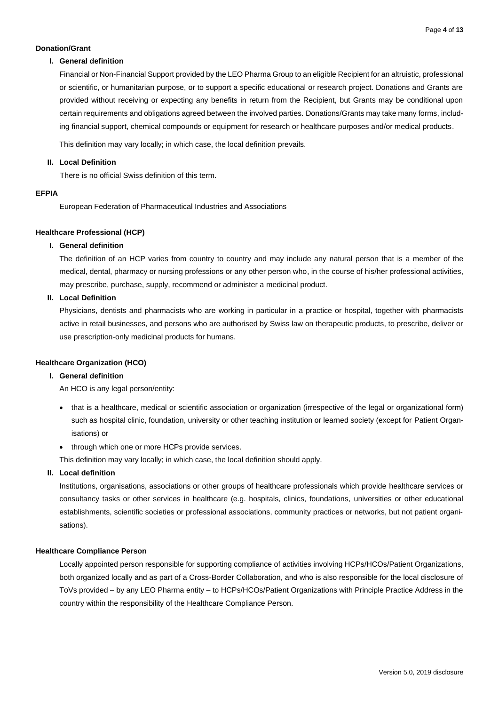# **Donation/Grant**

# **I. General definition**

Financial or Non-Financial Support provided by the LEO Pharma Group to an eligible Recipient for an altruistic, professional or scientific, or humanitarian purpose, or to support a specific educational or research project. Donations and Grants are provided without receiving or expecting any benefits in return from the Recipient, but Grants may be conditional upon certain requirements and obligations agreed between the involved parties. Donations/Grants may take many forms, including financial support, chemical compounds or equipment for research or healthcare purposes and/or medical products.

This definition may vary locally; in which case, the local definition prevails.

# **II. Local Definition**

There is no official Swiss definition of this term.

# **EFPIA**

European Federation of Pharmaceutical Industries and Associations

# **Healthcare Professional (HCP)**

# **I. General definition**

The definition of an HCP varies from country to country and may include any natural person that is a member of the medical, dental, pharmacy or nursing professions or any other person who, in the course of his/her professional activities, may prescribe, purchase, supply, recommend or administer a medicinal product.

# **II. Local Definition**

Physicians, dentists and pharmacists who are working in particular in a practice or hospital, together with pharmacists active in retail businesses, and persons who are authorised by Swiss law on therapeutic products, to prescribe, deliver or use prescription-only medicinal products for humans.

# **Healthcare Organization (HCO)**

# **I. General definition**

An HCO is any legal person/entity:

- that is a healthcare, medical or scientific association or organization (irrespective of the legal or organizational form) such as hospital clinic, foundation, university or other teaching institution or learned society (except for Patient Organisations) or
- through which one or more HCPs provide services.

This definition may vary locally; in which case, the local definition should apply.

# **II. Local definition**

Institutions, organisations, associations or other groups of healthcare professionals which provide healthcare services or consultancy tasks or other services in healthcare (e.g. hospitals, clinics, foundations, universities or other educational establishments, scientific societies or professional associations, community practices or networks, but not patient organisations).

# **Healthcare Compliance Person**

Locally appointed person responsible for supporting compliance of activities involving HCPs/HCOs/Patient Organizations, both organized locally and as part of a Cross-Border Collaboration, and who is also responsible for the local disclosure of ToVs provided – by any LEO Pharma entity – to HCPs/HCOs/Patient Organizations with Principle Practice Address in the country within the responsibility of the Healthcare Compliance Person.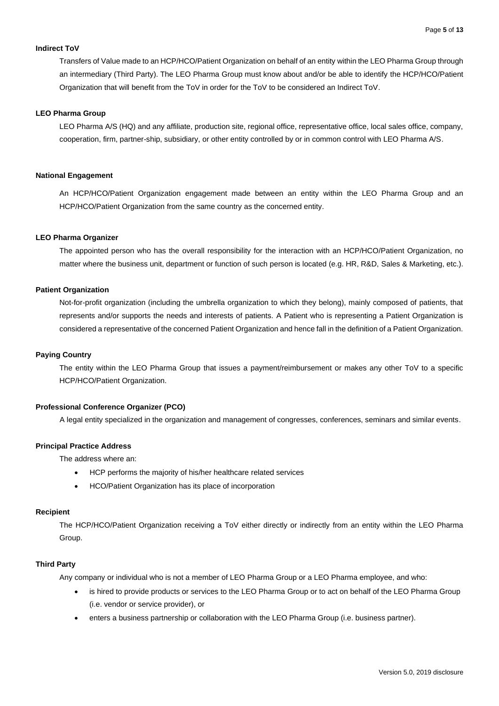# **Indirect ToV**

Transfers of Value made to an HCP/HCO/Patient Organization on behalf of an entity within the LEO Pharma Group through an intermediary (Third Party). The LEO Pharma Group must know about and/or be able to identify the HCP/HCO/Patient Organization that will benefit from the ToV in order for the ToV to be considered an Indirect ToV.

# **LEO Pharma Group**

LEO Pharma A/S (HQ) and any affiliate, production site, regional office, representative office, local sales office, company, cooperation, firm, partner-ship, subsidiary, or other entity controlled by or in common control with LEO Pharma A/S.

#### **National Engagement**

An HCP/HCO/Patient Organization engagement made between an entity within the LEO Pharma Group and an HCP/HCO/Patient Organization from the same country as the concerned entity.

#### **LEO Pharma Organizer**

The appointed person who has the overall responsibility for the interaction with an HCP/HCO/Patient Organization, no matter where the business unit, department or function of such person is located (e.g. HR, R&D, Sales & Marketing, etc.).

# **Patient Organization**

Not-for-profit organization (including the umbrella organization to which they belong), mainly composed of patients, that represents and/or supports the needs and interests of patients. A Patient who is representing a Patient Organization is considered a representative of the concerned Patient Organization and hence fall in the definition of a Patient Organization.

#### **Paying Country**

The entity within the LEO Pharma Group that issues a payment/reimbursement or makes any other ToV to a specific HCP/HCO/Patient Organization.

# **Professional Conference Organizer (PCO)**

A legal entity specialized in the organization and management of congresses, conferences, seminars and similar events.

# **Principal Practice Address**

The address where an:

- HCP performs the majority of his/her healthcare related services
- HCO/Patient Organization has its place of incorporation

# **Recipient**

The HCP/HCO/Patient Organization receiving a ToV either directly or indirectly from an entity within the LEO Pharma Group.

#### **Third Party**

Any company or individual who is not a member of LEO Pharma Group or a LEO Pharma employee, and who:

- is hired to provide products or services to the LEO Pharma Group or to act on behalf of the LEO Pharma Group (i.e. vendor or service provider), or
- enters a business partnership or collaboration with the LEO Pharma Group (i.e. business partner).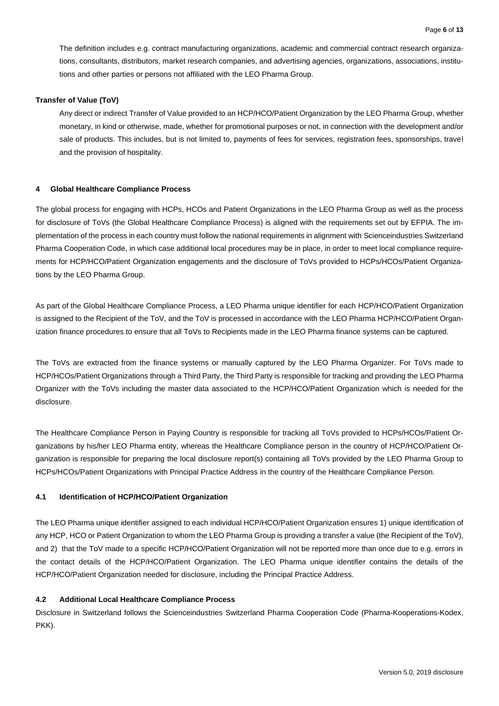The definition includes e.g. contract manufacturing organizations, academic and commercial contract research organizations, consultants, distributors, market research companies, and advertising agencies, organizations, associations, institutions and other parties or persons not affiliated with the LEO Pharma Group.

#### **Transfer of Value (ToV)**

Any direct or indirect Transfer of Value provided to an HCP/HCO/Patient Organization by the LEO Pharma Group, whether monetary, in kind or otherwise, made, whether for promotional purposes or not, in connection with the development and/or sale of products. This includes, but is not limited to, payments of fees for services, registration fees, sponsorships, travel and the provision of hospitality.

# <span id="page-5-0"></span>**4 Global Healthcare Compliance Process**

The global process for engaging with HCPs, HCOs and Patient Organizations in the LEO Pharma Group as well as the process for disclosure of ToVs (the Global Healthcare Compliance Process) is aligned with the requirements set out by EFPIA. The implementation of the process in each country must follow the national requirements in alignment with Scienceindustries Switzerland Pharma Cooperation Code, in which case additional local procedures may be in place, in order to meet local compliance requirements for HCP/HCO/Patient Organization engagements and the disclosure of ToVs provided to HCPs/HCOs/Patient Organizations by the LEO Pharma Group.

As part of the Global Healthcare Compliance Process, a LEO Pharma unique identifier for each HCP/HCO/Patient Organization is assigned to the Recipient of the ToV, and the ToV is processed in accordance with the LEO Pharma HCP/HCO/Patient Organization finance procedures to ensure that all ToVs to Recipients made in the LEO Pharma finance systems can be captured.

The ToVs are extracted from the finance systems or manually captured by the LEO Pharma Organizer. For ToVs made to HCP/HCOs/Patient Organizations through a Third Party, the Third Party is responsible for tracking and providing the LEO Pharma Organizer with the ToVs including the master data associated to the HCP/HCO/Patient Organization which is needed for the disclosure.

The Healthcare Compliance Person in Paying Country is responsible for tracking all ToVs provided to HCPs/HCOs/Patient Organizations by his/her LEO Pharma entity, whereas the Healthcare Compliance person in the country of HCP/HCO/Patient Organization is responsible for preparing the local disclosure report(s) containing all ToVs provided by the LEO Pharma Group to HCPs/HCOs/Patient Organizations with Principal Practice Address in the country of the Healthcare Compliance Person.

# <span id="page-5-1"></span>**4.1 Identification of HCP/HCO/Patient Organization**

The LEO Pharma unique identifier assigned to each individual HCP/HCO/Patient Organization ensures 1) unique identification of any HCP, HCO or Patient Organization to whom the LEO Pharma Group is providing a transfer a value (the Recipient of the ToV), and 2) that the ToV made to a specific HCP/HCO/Patient Organization will not be reported more than once due to e.g. errors in the contact details of the HCP/HCO/Patient Organization. The LEO Pharma unique identifier contains the details of the HCP/HCO/Patient Organization needed for disclosure, including the Principal Practice Address.

# <span id="page-5-2"></span>**4.2 Additional Local Healthcare Compliance Process**

Disclosure in Switzerland follows the Scienceindustries Switzerland Pharma Cooperation Code (Pharma-Kooperations-Kodex, PKK).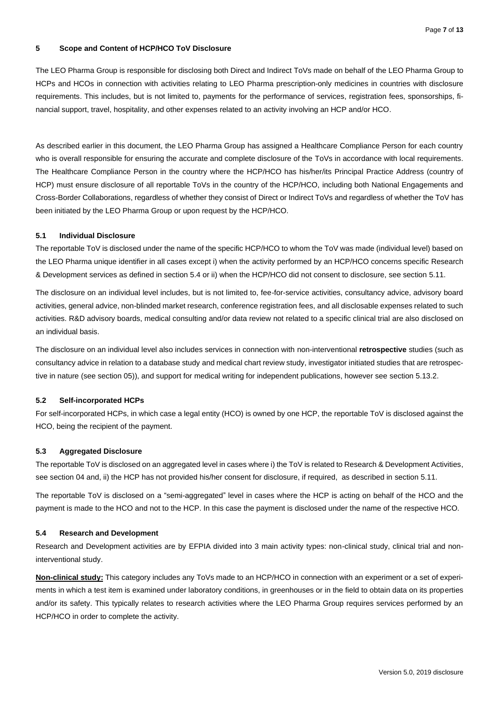# <span id="page-6-0"></span>**5 Scope and Content of HCP/HCO ToV Disclosure**

The LEO Pharma Group is responsible for disclosing both Direct and Indirect ToVs made on behalf of the LEO Pharma Group to HCPs and HCOs in connection with activities relating to LEO Pharma prescription-only medicines in countries with disclosure requirements. This includes, but is not limited to, payments for the performance of services, registration fees, sponsorships, financial support, travel, hospitality, and other expenses related to an activity involving an HCP and/or HCO.

As described earlier in this document, the LEO Pharma Group has assigned a Healthcare Compliance Person for each country who is overall responsible for ensuring the accurate and complete disclosure of the ToVs in accordance with local requirements. The Healthcare Compliance Person in the country where the HCP/HCO has his/her/its Principal Practice Address (country of HCP) must ensure disclosure of all reportable ToVs in the country of the HCP/HCO, including both National Engagements and Cross-Border Collaborations, regardless of whether they consist of Direct or Indirect ToVs and regardless of whether the ToV has been initiated by the LEO Pharma Group or upon request by the HCP/HCO.

# <span id="page-6-1"></span>**5.1 Individual Disclosure**

The reportable ToV is disclosed under the name of the specific HCP/HCO to whom the ToV was made (individual level) based on the LEO Pharma unique identifier in all cases except i) when the activity performed by an HCP/HCO concerns specific Research & Development services as defined in section 5.4 or ii) when the HCP/HCO did not consent to disclosure, see section 5.11.

The disclosure on an individual level includes, but is not limited to, fee-for-service activities, consultancy advice, advisory board activities, general advice, non-blinded market research, conference registration fees, and all disclosable expenses related to such activities. R&D advisory boards, medical consulting and/or data review not related to a specific clinical trial are also disclosed on an individual basis.

The disclosure on an individual level also includes services in connection with non-interventional **retrospective** studies (such as consultancy advice in relation to a database study and medical chart review study, investigator initiated studies that are retrospective in nature (see sectio[n 05](#page-7-0))), and support for medical writing for independent publications, however see section 5.13.2.

# <span id="page-6-2"></span>**5.2 Self-incorporated HCPs**

For self-incorporated HCPs, in which case a legal entity (HCO) is owned by one HCP, the reportable ToV is disclosed against the HCO, being the recipient of the payment.

# <span id="page-6-3"></span>**5.3 Aggregated Disclosure**

The reportable ToV is disclosed on an aggregated level in cases where i) the ToV is related to Research & Development Activities, see sectio[n 04](#page-6-4) and, ii) the HCP has not provided his/her consent for disclosure, if required, as described in section 5.11.

The reportable ToV is disclosed on a "semi-aggregated" level in cases where the HCP is acting on behalf of the HCO and the payment is made to the HCO and not to the HCP. In this case the payment is disclosed under the name of the respective HCO.

#### <span id="page-6-4"></span>**5.4 Research and Development**

Research and Development activities are by EFPIA divided into 3 main activity types: non-clinical study, clinical trial and noninterventional study.

**Non-clinical study:** This category includes any ToVs made to an HCP/HCO in connection with an experiment or a set of experiments in which a test item is examined under laboratory conditions, in greenhouses or in the field to obtain data on its properties and/or its safety. This typically relates to research activities where the LEO Pharma Group requires services performed by an HCP/HCO in order to complete the activity.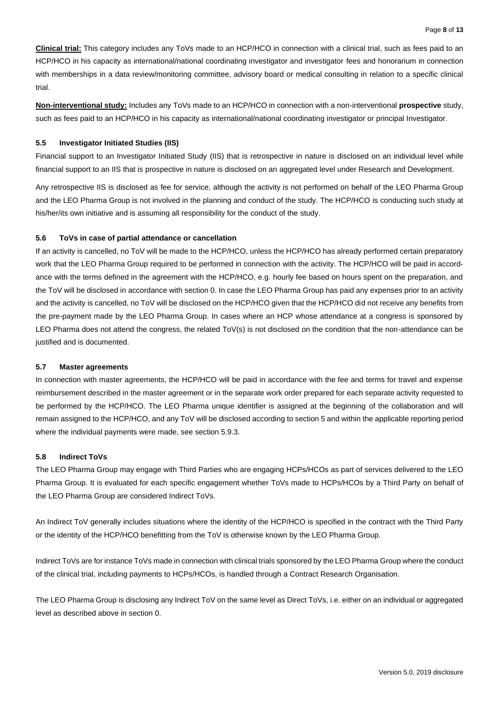**Clinical trial:** This category includes any ToVs made to an HCP/HCO in connection with a clinical trial, such as fees paid to an HCP/HCO in his capacity as international/national coordinating investigator and investigator fees and honorarium in connection with memberships in a data review/monitoring committee, advisory board or medical consulting in relation to a specific clinical trial.

**Non-interventional study:** Includes any ToVs made to an HCP/HCO in connection with a non-interventional **prospective** study, such as fees paid to an HCP/HCO in his capacity as international/national coordinating investigator or principal Investigator.

# <span id="page-7-0"></span>**5.5 Investigator Initiated Studies (IIS)**

Financial support to an Investigator Initiated Study (IIS) that is retrospective in nature is disclosed on an individual level while financial support to an IIS that is prospective in nature is disclosed on an aggregated level under Research and Development.

Any retrospective IIS is disclosed as fee for service, although the activity is not performed on behalf of the LEO Pharma Group and the LEO Pharma Group is not involved in the planning and conduct of the study. The HCP/HCO is conducting such study at his/her/its own initiative and is assuming all responsibility for the conduct of the study.

# <span id="page-7-1"></span>**5.6 ToVs in case of partial attendance or cancellation**

If an activity is cancelled, no ToV will be made to the HCP/HCO, unless the HCP/HCO has already performed certain preparatory work that the LEO Pharma Group required to be performed in connection with the activity. The HCP/HCO will be paid in accordance with the terms defined in the agreement with the HCP/HCO, e.g. hourly fee based on hours spent on the preparation, and the ToV will be disclosed in accordance with section [0.](#page-6-1) In case the LEO Pharma Group has paid any expenses prior to an activity and the activity is cancelled, no ToV will be disclosed on the HCP/HCO given that the HCP/HCO did not receive any benefits from the pre-payment made by the LEO Pharma Group. In cases where an HCP whose attendance at a congress is sponsored by LEO Pharma does not attend the congress, the related ToV(s) is not disclosed on the condition that the non-attendance can be justified and is documented.

# <span id="page-7-2"></span>**5.7 Master agreements**

In connection with master agreements, the HCP/HCO will be paid in accordance with the fee and terms for travel and expense reimbursement described in the master agreement or in the separate work order prepared for each separate activity requested to be performed by the HCP/HCO. The LEO Pharma unique identifier is assigned at the beginning of the collaboration and will remain assigned to the HCP/HCO, and any ToV will be disclosed according to section 5 and within the applicable reporting period where the individual payments were made, see section 5.9.3.

# <span id="page-7-3"></span>**5.8 Indirect ToVs**

The LEO Pharma Group may engage with Third Parties who are engaging HCPs/HCOs as part of services delivered to the LEO Pharma Group. It is evaluated for each specific engagement whether ToVs made to HCPs/HCOs by a Third Party on behalf of the LEO Pharma Group are considered Indirect ToVs.

An Indirect ToV generally includes situations where the identity of the HCP/HCO is specified in the contract with the Third Party or the identity of the HCP/HCO benefitting from the ToV is otherwise known by the LEO Pharma Group.

Indirect ToVs are for instance ToVs made in connection with clinical trials sponsored by the LEO Pharma Group where the conduct of the clinical trial, including payments to HCPs/HCOs, is handled through a Contract Research Organisation.

The LEO Pharma Group is disclosing any Indirect ToV on the same level as Direct ToVs, i.e. either on an individual or aggregated level as described above in sectio[n 0.](#page-6-0)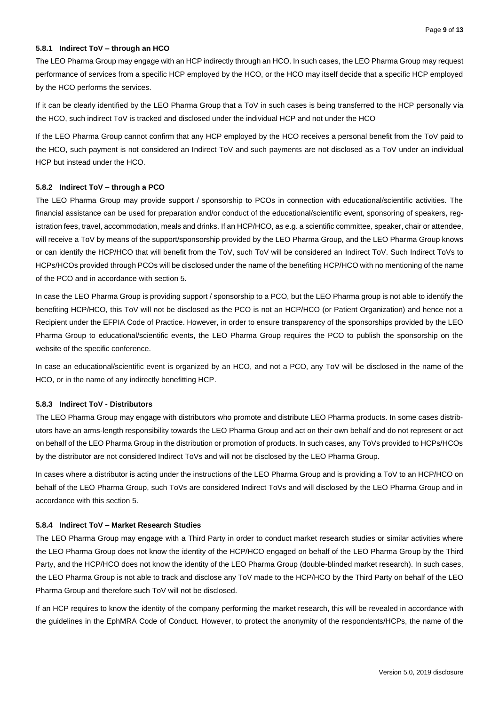# <span id="page-8-0"></span>**5.8.1 Indirect ToV – through an HCO**

The LEO Pharma Group may engage with an HCP indirectly through an HCO. In such cases, the LEO Pharma Group may request performance of services from a specific HCP employed by the HCO, or the HCO may itself decide that a specific HCP employed by the HCO performs the services.

If it can be clearly identified by the LEO Pharma Group that a ToV in such cases is being transferred to the HCP personally via the HCO, such indirect ToV is tracked and disclosed under the individual HCP and not under the HCO

If the LEO Pharma Group cannot confirm that any HCP employed by the HCO receives a personal benefit from the ToV paid to the HCO, such payment is not considered an Indirect ToV and such payments are not disclosed as a ToV under an individual HCP but instead under the HCO.

# <span id="page-8-1"></span>**5.8.2 Indirect ToV – through a PCO**

The LEO Pharma Group may provide support / sponsorship to PCOs in connection with educational/scientific activities. The financial assistance can be used for preparation and/or conduct of the educational/scientific event, sponsoring of speakers, registration fees, travel, accommodation, meals and drinks. If an HCP/HCO, as e.g. a scientific committee, speaker, chair or attendee, will receive a ToV by means of the support/sponsorship provided by the LEO Pharma Group, and the LEO Pharma Group knows or can identify the HCP/HCO that will benefit from the ToV, such ToV will be considered an Indirect ToV. Such Indirect ToVs to HCPs/HCOs provided through PCOs will be disclosed under the name of the benefiting HCP/HCO with no mentioning of the name of the PCO and in accordance with section 5.

In case the LEO Pharma Group is providing support / sponsorship to a PCO, but the LEO Pharma group is not able to identify the benefiting HCP/HCO, this ToV will not be disclosed as the PCO is not an HCP/HCO (or Patient Organization) and hence not a Recipient under the EFPIA Code of Practice. However, in order to ensure transparency of the sponsorships provided by the LEO Pharma Group to educational/scientific events, the LEO Pharma Group requires the PCO to publish the sponsorship on the website of the specific conference.

In case an educational/scientific event is organized by an HCO, and not a PCO, any ToV will be disclosed in the name of the HCO, or in the name of any indirectly benefitting HCP.

# <span id="page-8-2"></span>**5.8.3 Indirect ToV - Distributors**

The LEO Pharma Group may engage with distributors who promote and distribute LEO Pharma products. In some cases distributors have an arms-length responsibility towards the LEO Pharma Group and act on their own behalf and do not represent or act on behalf of the LEO Pharma Group in the distribution or promotion of products. In such cases, any ToVs provided to HCPs/HCOs by the distributor are not considered Indirect ToVs and will not be disclosed by the LEO Pharma Group.

In cases where a distributor is acting under the instructions of the LEO Pharma Group and is providing a ToV to an HCP/HCO on behalf of the LEO Pharma Group, such ToVs are considered Indirect ToVs and will disclosed by the LEO Pharma Group and in accordance with this section 5.

# <span id="page-8-3"></span>**5.8.4 Indirect ToV – Market Research Studies**

The LEO Pharma Group may engage with a Third Party in order to conduct market research studies or similar activities where the LEO Pharma Group does not know the identity of the HCP/HCO engaged on behalf of the LEO Pharma Group by the Third Party, and the HCP/HCO does not know the identity of the LEO Pharma Group (double-blinded market research). In such cases, the LEO Pharma Group is not able to track and disclose any ToV made to the HCP/HCO by the Third Party on behalf of the LEO Pharma Group and therefore such ToV will not be disclosed.

If an HCP requires to know the identity of the company performing the market research, this will be revealed in accordance with the guidelines in the EphMRA Code of Conduct. However, to protect the anonymity of the respondents/HCPs, the name of the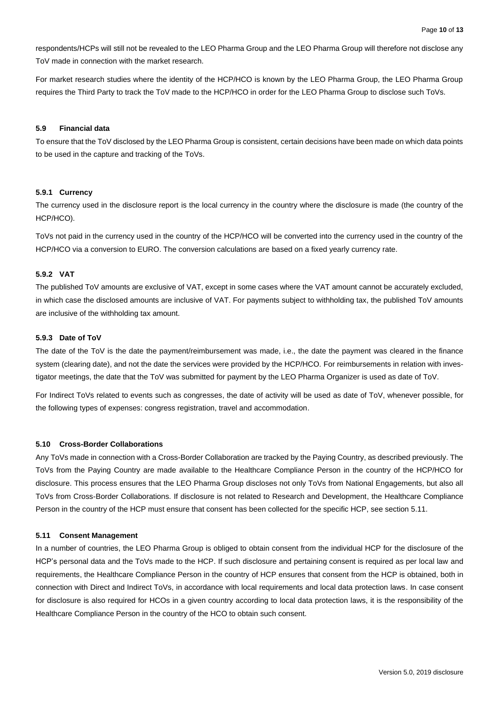respondents/HCPs will still not be revealed to the LEO Pharma Group and the LEO Pharma Group will therefore not disclose any ToV made in connection with the market research.

For market research studies where the identity of the HCP/HCO is known by the LEO Pharma Group, the LEO Pharma Group requires the Third Party to track the ToV made to the HCP/HCO in order for the LEO Pharma Group to disclose such ToVs.

#### <span id="page-9-0"></span>**5.9 Financial data**

To ensure that the ToV disclosed by the LEO Pharma Group is consistent, certain decisions have been made on which data points to be used in the capture and tracking of the ToVs.

#### <span id="page-9-1"></span>**5.9.1 Currency**

The currency used in the disclosure report is the local currency in the country where the disclosure is made (the country of the HCP/HCO).

ToVs not paid in the currency used in the country of the HCP/HCO will be converted into the currency used in the country of the HCP/HCO via a conversion to EURO. The conversion calculations are based on a fixed yearly currency rate.

# <span id="page-9-2"></span>**5.9.2 VAT**

The published ToV amounts are exclusive of VAT, except in some cases where the VAT amount cannot be accurately excluded, in which case the disclosed amounts are inclusive of VAT. For payments subject to withholding tax, the published ToV amounts are inclusive of the withholding tax amount.

#### <span id="page-9-3"></span>**5.9.3 Date of ToV**

The date of the ToV is the date the payment/reimbursement was made, i.e., the date the payment was cleared in the finance system (clearing date), and not the date the services were provided by the HCP/HCO. For reimbursements in relation with investigator meetings, the date that the ToV was submitted for payment by the LEO Pharma Organizer is used as date of ToV.

For Indirect ToVs related to events such as congresses, the date of activity will be used as date of ToV, whenever possible, for the following types of expenses: congress registration, travel and accommodation.

#### <span id="page-9-4"></span>**5.10 Cross-Border Collaborations**

Any ToVs made in connection with a Cross-Border Collaboration are tracked by the Paying Country, as described previously. The ToVs from the Paying Country are made available to the Healthcare Compliance Person in the country of the HCP/HCO for disclosure. This process ensures that the LEO Pharma Group discloses not only ToVs from National Engagements, but also all ToVs from Cross-Border Collaborations. If disclosure is not related to Research and Development, the Healthcare Compliance Person in the country of the HCP must ensure that consent has been collected for the specific HCP, see section 5.11.

#### <span id="page-9-5"></span>**5.11 Consent Management**

In a number of countries, the LEO Pharma Group is obliged to obtain consent from the individual HCP for the disclosure of the HCP's personal data and the ToVs made to the HCP. If such disclosure and pertaining consent is required as per local law and requirements, the Healthcare Compliance Person in the country of HCP ensures that consent from the HCP is obtained, both in connection with Direct and Indirect ToVs, in accordance with local requirements and local data protection laws. In case consent for disclosure is also required for HCOs in a given country according to local data protection laws, it is the responsibility of the Healthcare Compliance Person in the country of the HCO to obtain such consent.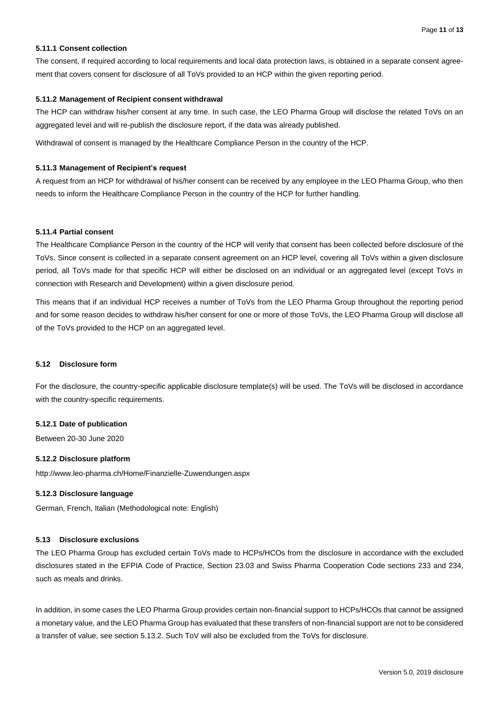# <span id="page-10-0"></span>**5.11.1 Consent collection**

The consent, if required according to local requirements and local data protection laws, is obtained in a separate consent agreement that covers consent for disclosure of all ToVs provided to an HCP within the given reporting period.

# <span id="page-10-1"></span>**5.11.2 Management of Recipient consent withdrawal**

The HCP can withdraw his/her consent at any time. In such case, the LEO Pharma Group will disclose the related ToVs on an aggregated level and will re-publish the disclosure report, if the data was already published.

Withdrawal of consent is managed by the Healthcare Compliance Person in the country of the HCP.

# <span id="page-10-2"></span>**5.11.3 Management of Recipient's request**

A request from an HCP for withdrawal of his/her consent can be received by any employee in the LEO Pharma Group, who then needs to inform the Healthcare Compliance Person in the country of the HCP for further handling.

# <span id="page-10-3"></span>**5.11.4 Partial consent**

The Healthcare Compliance Person in the country of the HCP will verify that consent has been collected before disclosure of the ToVs. Since consent is collected in a separate consent agreement on an HCP level, covering all ToVs within a given disclosure period, all ToVs made for that specific HCP will either be disclosed on an individual or an aggregated level (except ToVs in connection with Research and Development) within a given disclosure period.

This means that if an individual HCP receives a number of ToVs from the LEO Pharma Group throughout the reporting period and for some reason decides to withdraw his/her consent for one or more of those ToVs, the LEO Pharma Group will disclose all of the ToVs provided to the HCP on an aggregated level.

# <span id="page-10-4"></span>**5.12 Disclosure form**

For the disclosure, the country-specific applicable disclosure template(s) will be used. The ToVs will be disclosed in accordance with the country-specific requirements.

# <span id="page-10-5"></span>**5.12.1 Date of publication**

<span id="page-10-6"></span>Between 20-30 June 2020

# **5.12.2 Disclosure platform**

<span id="page-10-7"></span>http://www.leo-pharma.ch/Home/Finanzielle-Zuwendungen.aspx

# **5.12.3 Disclosure language**

German, French, Italian (Methodological note: English)

# <span id="page-10-8"></span>**5.13 Disclosure exclusions**

The LEO Pharma Group has excluded certain ToVs made to HCPs/HCOs from the disclosure in accordance with the excluded disclosures stated in the EFPIA Code of Practice, Section 23.03 and Swiss Pharma Cooperation Code sections 233 and 234, such as meals and drinks.

In addition, in some cases the LEO Pharma Group provides certain non-financial support to HCPs/HCOs that cannot be assigned a monetary value, and the LEO Pharma Group has evaluated that these transfers of non-financial support are not to be considered a transfer of value, see section 5.13.2. Such ToV will also be excluded from the ToVs for disclosure.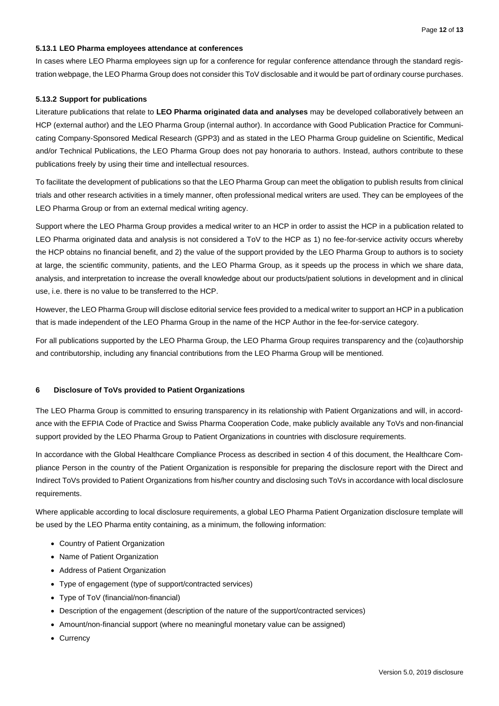# <span id="page-11-0"></span>**5.13.1 LEO Pharma employees attendance at conferences**

In cases where LEO Pharma employees sign up for a conference for regular conference attendance through the standard registration webpage, the LEO Pharma Group does not consider this ToV disclosable and it would be part of ordinary course purchases.

# <span id="page-11-1"></span>**5.13.2 Support for publications**

Literature publications that relate to **LEO Pharma originated data and analyses** may be developed collaboratively between an HCP (external author) and the LEO Pharma Group (internal author). In accordance with Good Publication Practice for Communicating Company-Sponsored Medical Research (GPP3) and as stated in the LEO Pharma Group guideline on Scientific, Medical and/or Technical Publications, the LEO Pharma Group does not pay honoraria to authors. Instead, authors contribute to these publications freely by using their time and intellectual resources.

To facilitate the development of publications so that the LEO Pharma Group can meet the obligation to publish results from clinical trials and other research activities in a timely manner, often professional medical writers are used. They can be employees of the LEO Pharma Group or from an external medical writing agency.

Support where the LEO Pharma Group provides a medical writer to an HCP in order to assist the HCP in a publication related to LEO Pharma originated data and analysis is not considered a ToV to the HCP as 1) no fee-for-service activity occurs whereby the HCP obtains no financial benefit, and 2) the value of the support provided by the LEO Pharma Group to authors is to society at large, the scientific community, patients, and the LEO Pharma Group, as it speeds up the process in which we share data, analysis, and interpretation to increase the overall knowledge about our products/patient solutions in development and in clinical use, i.e. there is no value to be transferred to the HCP.

However, the LEO Pharma Group will disclose editorial service fees provided to a medical writer to support an HCP in a publication that is made independent of the LEO Pharma Group in the name of the HCP Author in the fee-for-service category.

For all publications supported by the LEO Pharma Group, the LEO Pharma Group requires transparency and the (co)authorship and contributorship, including any financial contributions from the LEO Pharma Group will be mentioned.

# <span id="page-11-2"></span>**6 Disclosure of ToVs provided to Patient Organizations**

The LEO Pharma Group is committed to ensuring transparency in its relationship with Patient Organizations and will, in accordance with the EFPIA Code of Practice and Swiss Pharma Cooperation Code, make publicly available any ToVs and non-financial support provided by the LEO Pharma Group to Patient Organizations in countries with disclosure requirements.

In accordance with the Global Healthcare Compliance Process as described in section 4 of this document, the Healthcare Compliance Person in the country of the Patient Organization is responsible for preparing the disclosure report with the Direct and Indirect ToVs provided to Patient Organizations from his/her country and disclosing such ToVs in accordance with local disclosure requirements.

Where applicable according to local disclosure requirements, a global LEO Pharma Patient Organization disclosure template will be used by the LEO Pharma entity containing, as a minimum, the following information:

- Country of Patient Organization
- Name of Patient Organization
- Address of Patient Organization
- Type of engagement (type of support/contracted services)
- Type of ToV (financial/non-financial)
- Description of the engagement (description of the nature of the support/contracted services)
- Amount/non-financial support (where no meaningful monetary value can be assigned)
- Currency